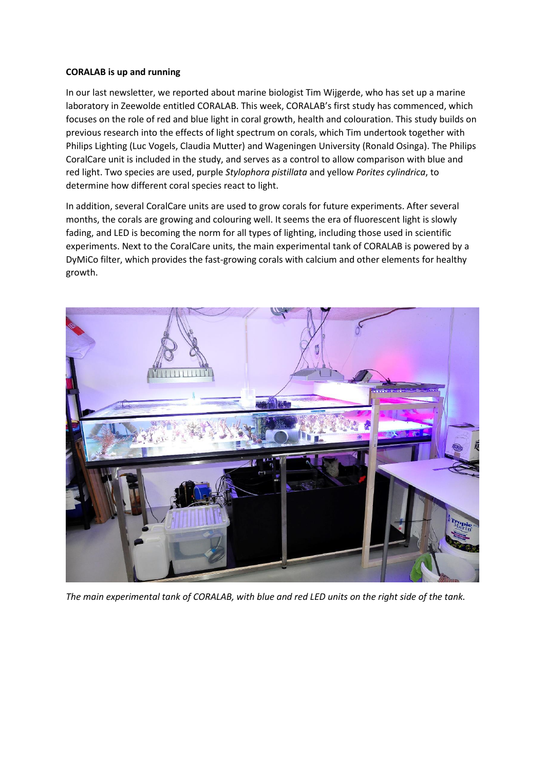## **CORALAB is up and running**

In our last newsletter, we reported about marine biologist Tim Wijgerde, who has set up a marine laboratory in Zeewolde entitled CORALAB. This week, CORALAB's first study has commenced, which focuses on the role of red and blue light in coral growth, health and colouration. This study builds on previous research into the effects of light spectrum on corals, which Tim undertook together with Philips Lighting (Luc Vogels, Claudia Mutter) and Wageningen University (Ronald Osinga). The Philips CoralCare unit is included in the study, and serves as a control to allow comparison with blue and red light. Two species are used, purple *Stylophora pistillata* and yellow *Porites cylindrica*, to determine how different coral species react to light.

In addition, several CoralCare units are used to grow corals for future experiments. After several months, the corals are growing and colouring well. It seems the era of fluorescent light is slowly fading, and LED is becoming the norm for all types of lighting, including those used in scientific experiments. Next to the CoralCare units, the main experimental tank of CORALAB is powered by a DyMiCo filter, which provides the fast-growing corals with calcium and other elements for healthy growth.



*The main experimental tank of CORALAB, with blue and red LED units on the right side of the tank.*